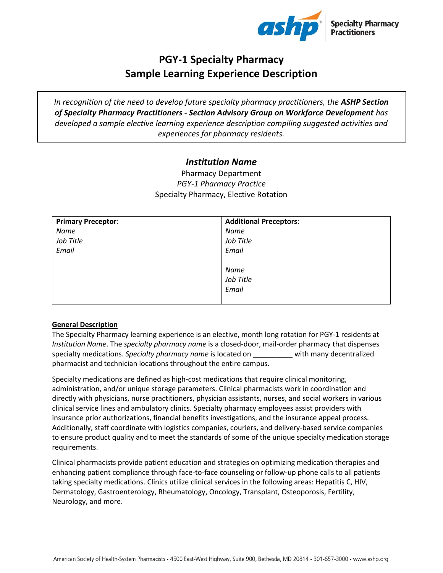

# **PGY-1 Specialty Pharmacy Sample Learning Experience Description**

*In recognition of the need to develop future specialty pharmacy practitioners, the ASHP Section of Specialty Pharmacy Practitioners - Section Advisory Group on Workforce Development has developed a sample elective learning experience description compiling suggested activities and experiences for pharmacy residents.* 

## *Institution Name*

Pharmacy Department *PGY-1 Pharmacy Practice* Specialty Pharmacy, Elective Rotation

| <b>Primary Preceptor:</b> | <b>Additional Preceptors:</b> |
|---------------------------|-------------------------------|
| Name                      | Name                          |
| Job Title                 | Job Title                     |
| Email                     | Email                         |
|                           |                               |
|                           | Name                          |
|                           | Job Title                     |
|                           | Email                         |
|                           |                               |

## **General Description**

The Specialty Pharmacy learning experience is an elective, month long rotation for PGY-1 residents at *Institution Name*. The *specialty pharmacy name* is a closed-door, mail-order pharmacy that dispenses specialty medications. *Specialty pharmacy name* is located on \_\_\_\_\_\_\_\_\_\_ with many decentralized pharmacist and technician locations throughout the entire campus.

Specialty medications are defined as high-cost medications that require clinical monitoring, administration, and/or unique storage parameters. Clinical pharmacists work in coordination and directly with physicians, nurse practitioners, physician assistants, nurses, and social workers in various clinical service lines and ambulatory clinics. Specialty pharmacy employees assist providers with insurance prior authorizations, financial benefits investigations, and the insurance appeal process. Additionally, staff coordinate with logistics companies, couriers, and delivery-based service companies to ensure product quality and to meet the standards of some of the unique specialty medication storage requirements.

Clinical pharmacists provide patient education and strategies on optimizing medication therapies and enhancing patient compliance through face-to-face counseling or follow-up phone calls to all patients taking specialty medications. Clinics utilize clinical services in the following areas: Hepatitis C, HIV, Dermatology, Gastroenterology, Rheumatology, Oncology, Transplant, Osteoporosis, Fertility, Neurology, and more.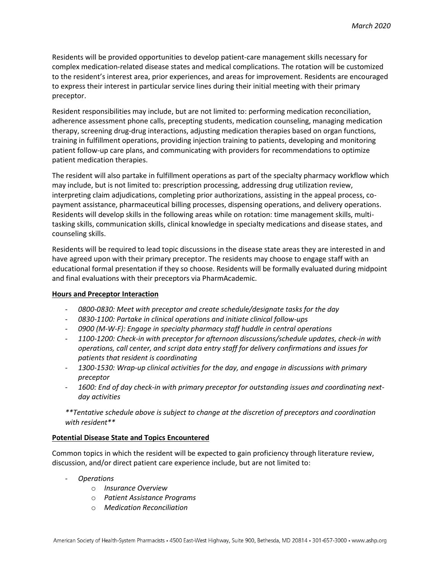Residents will be provided opportunities to develop patient-care management skills necessary for complex medication-related disease states and medical complications. The rotation will be customized to the resident's interest area, prior experiences, and areas for improvement. Residents are encouraged to express their interest in particular service lines during their initial meeting with their primary preceptor.

Resident responsibilities may include, but are not limited to: performing medication reconciliation, adherence assessment phone calls, precepting students, medication counseling, managing medication therapy, screening drug-drug interactions, adjusting medication therapies based on organ functions, training in fulfillment operations, providing injection training to patients, developing and monitoring patient follow-up care plans, and communicating with providers for recommendations to optimize patient medication therapies.

The resident will also partake in fulfillment operations as part of the specialty pharmacy workflow which may include, but is not limited to: prescription processing, addressing drug utilization review, interpreting claim adjudications, completing prior authorizations, assisting in the appeal process, copayment assistance, pharmaceutical billing processes, dispensing operations, and delivery operations. Residents will develop skills in the following areas while on rotation: time management skills, multitasking skills, communication skills, clinical knowledge in specialty medications and disease states, and counseling skills.

Residents will be required to lead topic discussions in the disease state areas they are interested in and have agreed upon with their primary preceptor. The residents may choose to engage staff with an educational formal presentation if they so choose. Residents will be formally evaluated during midpoint and final evaluations with their preceptors via PharmAcademic.

## **Hours and Preceptor Interaction**

- *0800-0830: Meet with preceptor and create schedule/designate tasks for the day*
- *0830-1100: Partake in clinical operations and initiate clinical follow-ups*
- *0900 (M-W-F): Engage in specialty pharmacy staff huddle in central operations*
- *1100-1200: Check-in with preceptor for afternoon discussions/schedule updates, check-in with operations, call center, and script data entry staff for delivery confirmations and issues for patients that resident is coordinating*
- *1300-1530: Wrap-up clinical activities for the day, and engage in discussions with primary preceptor*
- *1600: End of day check-in with primary preceptor for outstanding issues and coordinating nextday activities*

*\*\*Tentative schedule above is subject to change at the discretion of preceptors and coordination with resident\*\**

## **Potential Disease State and Topics Encountered**

Common topics in which the resident will be expected to gain proficiency through literature review, discussion, and/or direct patient care experience include, but are not limited to:

- *Operations*
	- o *Insurance Overview*
	- o *Patient Assistance Programs*
	- o *Medication Reconciliation*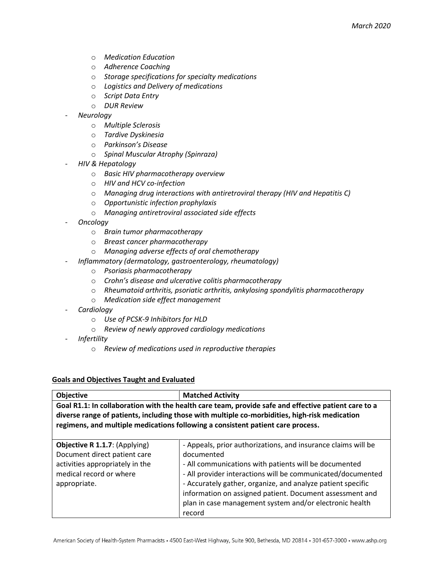- o *Medication Education*
- o *Adherence Coaching*
- o *Storage specifications for specialty medications*
- o *Logistics and Delivery of medications*
- o *Script Data Entry*
- o *DUR Review*
- *Neurology*
	- o *Multiple Sclerosis*
	- o *Tardive Dyskinesia*
	- o *Parkinson's Disease*
	- o *Spinal Muscular Atrophy (Spinraza)*
- *HIV & Hepatology* 
	- o *Basic HIV pharmacotherapy overview*
	- o *HIV and HCV co-infection*
	- o *Managing drug interactions with antiretroviral therapy (HIV and Hepatitis C)*
	- o *Opportunistic infection prophylaxis*
	- o *Managing antiretroviral associated side effects*
- *Oncology* 
	- o *Brain tumor pharmacotherapy*
	- o *Breast cancer pharmacotherapy*
	- o *Managing adverse effects of oral chemotherapy*
	- *Inflammatory (dermatology, gastroenterology, rheumatology)*
		- o *Psoriasis pharmacotherapy*
		- o *Crohn's disease and ulcerative colitis pharmacotherapy*
		- o *Rheumatoid arthritis, psoriatic arthritis, ankylosing spondylitis pharmacotherapy*
		- o *Medication side effect management*
- *Cardiology*
	- o *Use of PCSK-9 Inhibitors for HLD*
	- o *Review of newly approved cardiology medications*
- *Infertility*
	- o *Review of medications used in reproductive therapies*

#### **Goals and Objectives Taught and Evaluated**

| Objective                                                                                                                                                                                                                                                                               | <b>Matched Activity</b>                                                                                                                                                                                                                                                                                                                                                                             |  |
|-----------------------------------------------------------------------------------------------------------------------------------------------------------------------------------------------------------------------------------------------------------------------------------------|-----------------------------------------------------------------------------------------------------------------------------------------------------------------------------------------------------------------------------------------------------------------------------------------------------------------------------------------------------------------------------------------------------|--|
| Goal R1.1: In collaboration with the health care team, provide safe and effective patient care to a<br>diverse range of patients, including those with multiple co-morbidities, high-risk medication<br>regimens, and multiple medications following a consistent patient care process. |                                                                                                                                                                                                                                                                                                                                                                                                     |  |
| Objective R 1.1.7: (Applying)<br>Document direct patient care<br>activities appropriately in the<br>medical record or where<br>appropriate.                                                                                                                                             | - Appeals, prior authorizations, and insurance claims will be<br>documented<br>- All communications with patients will be documented<br>- All provider interactions will be communicated/documented<br>- Accurately gather, organize, and analyze patient specific<br>information on assigned patient. Document assessment and<br>plan in case management system and/or electronic health<br>record |  |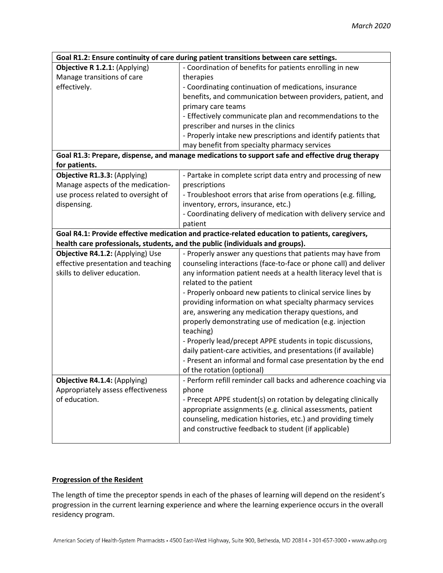| Goal R1.2: Ensure continuity of care during patient transitions between care settings.          |                                                                                                 |  |  |
|-------------------------------------------------------------------------------------------------|-------------------------------------------------------------------------------------------------|--|--|
| Objective R 1.2.1: (Applying)                                                                   | - Coordination of benefits for patients enrolling in new                                        |  |  |
| Manage transitions of care                                                                      | therapies                                                                                       |  |  |
| effectively.                                                                                    | - Coordinating continuation of medications, insurance                                           |  |  |
|                                                                                                 | benefits, and communication between providers, patient, and                                     |  |  |
|                                                                                                 | primary care teams                                                                              |  |  |
|                                                                                                 | - Effectively communicate plan and recommendations to the                                       |  |  |
|                                                                                                 | prescriber and nurses in the clinics                                                            |  |  |
|                                                                                                 | - Properly intake new prescriptions and identify patients that                                  |  |  |
|                                                                                                 | may benefit from specialty pharmacy services                                                    |  |  |
|                                                                                                 | Goal R1.3: Prepare, dispense, and manage medications to support safe and effective drug therapy |  |  |
| for patients.                                                                                   |                                                                                                 |  |  |
| Objective R1.3.3: (Applying)                                                                    | - Partake in complete script data entry and processing of new                                   |  |  |
| Manage aspects of the medication-                                                               | prescriptions                                                                                   |  |  |
| use process related to oversight of                                                             | - Troubleshoot errors that arise from operations (e.g. filling,                                 |  |  |
| dispensing.                                                                                     | inventory, errors, insurance, etc.)                                                             |  |  |
|                                                                                                 | - Coordinating delivery of medication with delivery service and                                 |  |  |
|                                                                                                 | patient                                                                                         |  |  |
| Goal R4.1: Provide effective medication and practice-related education to patients, caregivers, |                                                                                                 |  |  |
|                                                                                                 | health care professionals, students, and the public (individuals and groups).                   |  |  |
| Objective R4.1.2: (Applying) Use                                                                | - Properly answer any questions that patients may have from                                     |  |  |
| effective presentation and teaching                                                             | counseling interactions (face-to-face or phone call) and deliver                                |  |  |
| skills to deliver education.                                                                    | any information patient needs at a health literacy level that is                                |  |  |
|                                                                                                 | related to the patient                                                                          |  |  |
|                                                                                                 | - Properly onboard new patients to clinical service lines by                                    |  |  |
|                                                                                                 | providing information on what specialty pharmacy services                                       |  |  |
|                                                                                                 | are, answering any medication therapy questions, and                                            |  |  |
|                                                                                                 | properly demonstrating use of medication (e.g. injection                                        |  |  |
|                                                                                                 | teaching)                                                                                       |  |  |
|                                                                                                 | - Properly lead/precept APPE students in topic discussions,                                     |  |  |
|                                                                                                 | daily patient-care activities, and presentations (if available)                                 |  |  |
|                                                                                                 | - Present an informal and formal case presentation by the end                                   |  |  |
|                                                                                                 | of the rotation (optional)                                                                      |  |  |
| Objective R4.1.4: (Applying)                                                                    | - Perform refill reminder call backs and adherence coaching via                                 |  |  |
| Appropriately assess effectiveness                                                              | phone                                                                                           |  |  |
| of education.                                                                                   | - Precept APPE student(s) on rotation by delegating clinically                                  |  |  |
|                                                                                                 | appropriate assignments (e.g. clinical assessments, patient                                     |  |  |
|                                                                                                 | counseling, medication histories, etc.) and providing timely                                    |  |  |
|                                                                                                 | and constructive feedback to student (if applicable)                                            |  |  |
|                                                                                                 |                                                                                                 |  |  |

## **Progression of the Resident**

The length of time the preceptor spends in each of the phases of learning will depend on the resident's progression in the current learning experience and where the learning experience occurs in the overall residency program.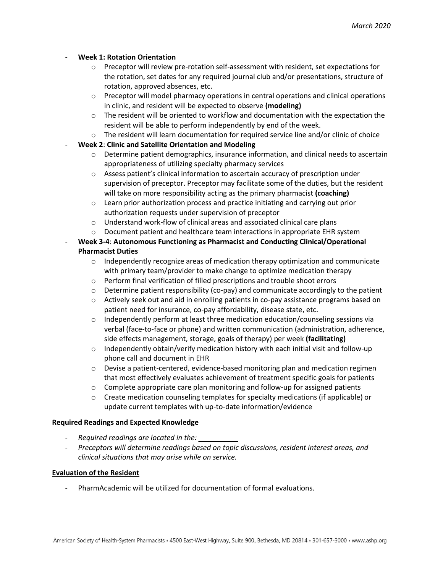### - **Week 1: Rotation Orientation**

- $\circ$  Preceptor will review pre-rotation self-assessment with resident, set expectations for the rotation, set dates for any required journal club and/or presentations, structure of rotation, approved absences, etc.
- $\circ$  Preceptor will model pharmacy operations in central operations and clinical operations in clinic, and resident will be expected to observe **(modeling)**
- $\circ$  The resident will be oriented to workflow and documentation with the expectation the resident will be able to perform independently by end of the week.
- o The resident will learn documentation for required service line and/or clinic of choice
- **Week 2**: **Clinic and Satellite Orientation and Modeling**
	- $\circ$  Determine patient demographics, insurance information, and clinical needs to ascertain appropriateness of utilizing specialty pharmacy services
	- $\circ$  Assess patient's clinical information to ascertain accuracy of prescription under supervision of preceptor. Preceptor may facilitate some of the duties, but the resident will take on more responsibility acting as the primary pharmacist **(coaching)**
	- o Learn prior authorization process and practice initiating and carrying out prior authorization requests under supervision of preceptor
	- o Understand work-flow of clinical areas and associated clinical care plans
	- $\circ$  Document patient and healthcare team interactions in appropriate EHR system
- **Week 3-4**: **Autonomous Functioning as Pharmacist and Conducting Clinical/Operational Pharmacist Duties**
	- $\circ$  Independently recognize areas of medication therapy optimization and communicate with primary team/provider to make change to optimize medication therapy
	- o Perform final verification of filled prescriptions and trouble shoot errors
	- $\circ$  Determine patient responsibility (co-pay) and communicate accordingly to the patient
	- $\circ$  Actively seek out and aid in enrolling patients in co-pay assistance programs based on patient need for insurance, co-pay affordability, disease state, etc.
	- $\circ$  Independently perform at least three medication education/counseling sessions via verbal (face-to-face or phone) and written communication (administration, adherence, side effects management, storage, goals of therapy) per week **(facilitating)**
	- $\circ$  Independently obtain/verify medication history with each initial visit and follow-up phone call and document in EHR
	- $\circ$  Devise a patient-centered, evidence-based monitoring plan and medication regimen that most effectively evaluates achievement of treatment specific goals for patients
	- $\circ$  Complete appropriate care plan monitoring and follow-up for assigned patients
	- $\circ$  Create medication counseling templates for specialty medications (if applicable) or update current templates with up-to-date information/evidence

#### **Required Readings and Expected Knowledge**

- *Required readings are located in the: \_\_\_\_\_\_\_\_\_\_*
- *Preceptors will determine readings based on topic discussions, resident interest areas, and clinical situations that may arise while on service.*

#### **Evaluation of the Resident**

- PharmAcademic will be utilized for documentation of formal evaluations.